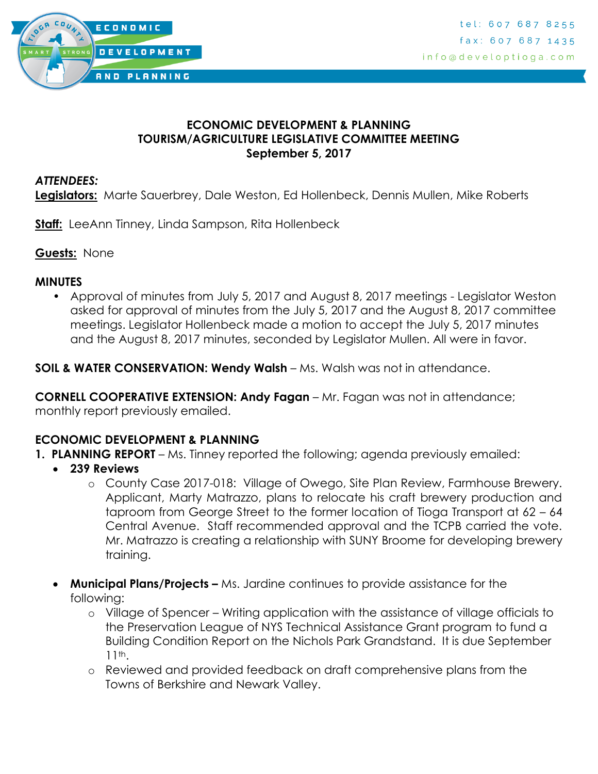

### **ECONOMIC DEVELOPMENT & PLANNING TOURISM/AGRICULTURE LEGISLATIVE COMMITTEE MEETING September 5, 2017**

#### *ATTENDEES:*

**Legislators:** Marte Sauerbrey, Dale Weston, Ed Hollenbeck, Dennis Mullen, Mike Roberts

**Staff:** LeeAnn Tinney, Linda Sampson, Rita Hollenbeck

**Guests:** None

#### **MINUTES**

• Approval of minutes from July 5, 2017 and August 8, 2017 meetings - Legislator Weston asked for approval of minutes from the July 5, 2017 and the August 8, 2017 committee meetings. Legislator Hollenbeck made a motion to accept the July 5, 2017 minutes and the August 8, 2017 minutes, seconded by Legislator Mullen. All were in favor.

**SOIL & WATER CONSERVATION: Wendy Walsh** – Ms. Walsh was not in attendance.

**CORNELL COOPERATIVE EXTENSION: Andy Fagan** – Mr. Fagan was not in attendance; monthly report previously emailed.

### **ECONOMIC DEVELOPMENT & PLANNING**

- **1. PLANNING REPORT** Ms. Tinney reported the following; agenda previously emailed:
	- **239 Reviews**
		- o County Case 2017-018: Village of Owego, Site Plan Review, Farmhouse Brewery. Applicant, Marty Matrazzo, plans to relocate his craft brewery production and taproom from George Street to the former location of Tioga Transport at 62 – 64 Central Avenue. Staff recommended approval and the TCPB carried the vote. Mr. Matrazzo is creating a relationship with SUNY Broome for developing brewery training.
	- **Municipal Plans/Projects –** Ms. Jardine continues to provide assistance for the following:
		- o Village of Spencer Writing application with the assistance of village officials to the Preservation League of NYS Technical Assistance Grant program to fund a Building Condition Report on the Nichols Park Grandstand. It is due September 11th.
		- o Reviewed and provided feedback on draft comprehensive plans from the Towns of Berkshire and Newark Valley.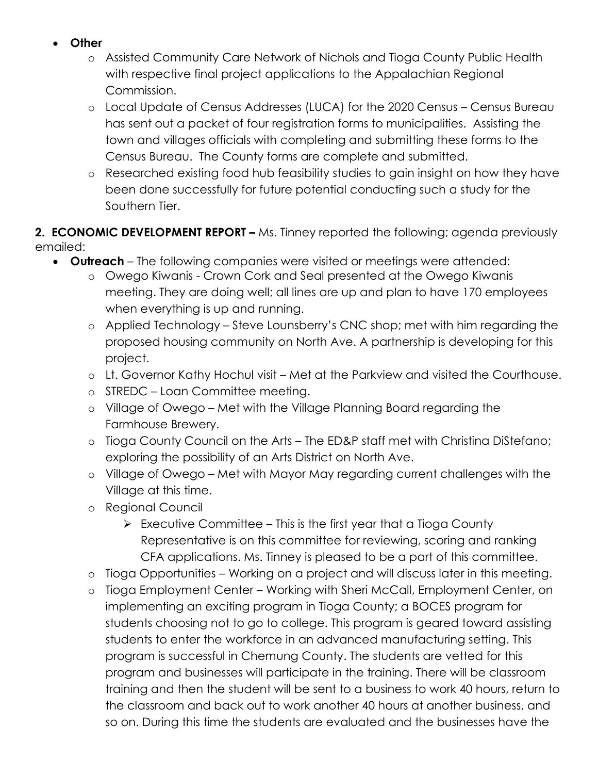- **Other**
	- o Assisted Community Care Network of Nichols and Tioga County Public Health with respective final project applications to the Appalachian Regional Commission.
	- o Local Update of Census Addresses (LUCA) for the 2020 Census Census Bureau has sent out a packet of four registration forms to municipalities. Assisting the town and villages officials with completing and submitting these forms to the Census Bureau. The County forms are complete and submitted.
	- o Researched existing food hub feasibility studies to gain insight on how they have been done successfully for future potential conducting such a study for the Southern Tier.

**2. ECONOMIC DEVELOPMENT REPORT –** Ms. Tinney reported the following; agenda previously emailed:

- **Outreach** The following companies were visited or meetings were attended:
	- o Owego Kiwanis Crown Cork and Seal presented at the Owego Kiwanis meeting. They are doing well; all lines are up and plan to have 170 employees when everything is up and running.
	- o Applied Technology Steve Lounsberry's CNC shop; met with him regarding the proposed housing community on North Ave. A partnership is developing for this project.
	- o Lt. Governor Kathy Hochul visit Met at the Parkview and visited the Courthouse.
	- o STREDC Loan Committee meeting.
	- o Village of Owego Met with the Village Planning Board regarding the Farmhouse Brewery.
	- o Tioga County Council on the Arts The ED&P staff met with Christina DiStefano; exploring the possibility of an Arts District on North Ave.
	- o Village of Owego Met with Mayor May regarding current challenges with the Village at this time.
	- o Regional Council
		- $\triangleright$  Executive Committee This is the first year that a Tioga County Representative is on this committee for reviewing, scoring and ranking CFA applications. Ms. Tinney is pleased to be a part of this committee.
	- o Tioga Opportunities Working on a project and will discuss later in this meeting.
	- o Tioga Employment Center Working with Sheri McCall, Employment Center, on implementing an exciting program in Tioga County; a BOCES program for students choosing not to go to college. This program is geared toward assisting students to enter the workforce in an advanced manufacturing setting. This program is successful in Chemung County. The students are vetted for this program and businesses will participate in the training. There will be classroom training and then the student will be sent to a business to work 40 hours, return to the classroom and back out to work another 40 hours at another business, and so on. During this time the students are evaluated and the businesses have the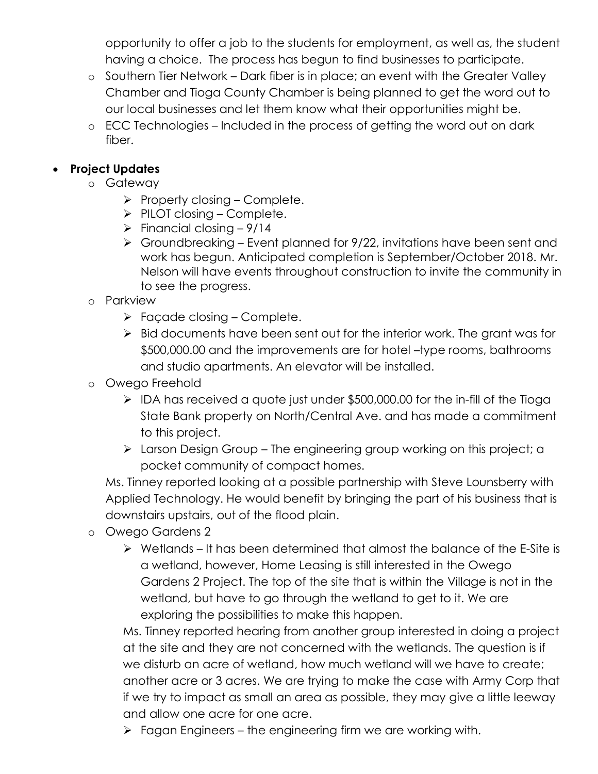opportunity to offer a job to the students for employment, as well as, the student having a choice. The process has begun to find businesses to participate.

- o Southern Tier Network Dark fiber is in place; an event with the Greater Valley Chamber and Tioga County Chamber is being planned to get the word out to our local businesses and let them know what their opportunities might be.
- o ECC Technologies Included in the process of getting the word out on dark fiber.

# **Project Updates**

- o Gateway
	- $\triangleright$  Property closing Complete.
	- $\triangleright$  PILOT closing Complete.
	- $\triangleright$  Financial closing 9/14
	- $\triangleright$  Groundbreaking Event planned for 9/22, invitations have been sent and work has begun. Anticipated completion is September/October 2018. Mr. Nelson will have events throughout construction to invite the community in to see the progress.
- o Parkview
	- $\triangleright$  Façade closing Complete.
	- $\triangleright$  Bid documents have been sent out for the interior work. The grant was for \$500,000.00 and the improvements are for hotel –type rooms, bathrooms and studio apartments. An elevator will be installed.
- o Owego Freehold
	- $\triangleright$  IDA has received a quote just under \$500,000.00 for the in-fill of the Tioga State Bank property on North/Central Ave. and has made a commitment to this project.
	- > Larson Design Group The engineering group working on this project; a pocket community of compact homes.

Ms. Tinney reported looking at a possible partnership with Steve Lounsberry with Applied Technology. He would benefit by bringing the part of his business that is downstairs upstairs, out of the flood plain.

- o Owego Gardens 2
	- $\triangleright$  Wetlands It has been determined that almost the balance of the E-Site is a wetland, however, Home Leasing is still interested in the Owego Gardens 2 Project. The top of the site that is within the Village is not in the wetland, but have to go through the wetland to get to it. We are exploring the possibilities to make this happen.

Ms. Tinney reported hearing from another group interested in doing a project at the site and they are not concerned with the wetlands. The question is if we disturb an acre of wetland, how much wetland will we have to create; another acre or 3 acres. We are trying to make the case with Army Corp that if we try to impact as small an area as possible, they may give a little leeway and allow one acre for one acre.

 $\triangleright$  Fagan Engineers – the engineering firm we are working with.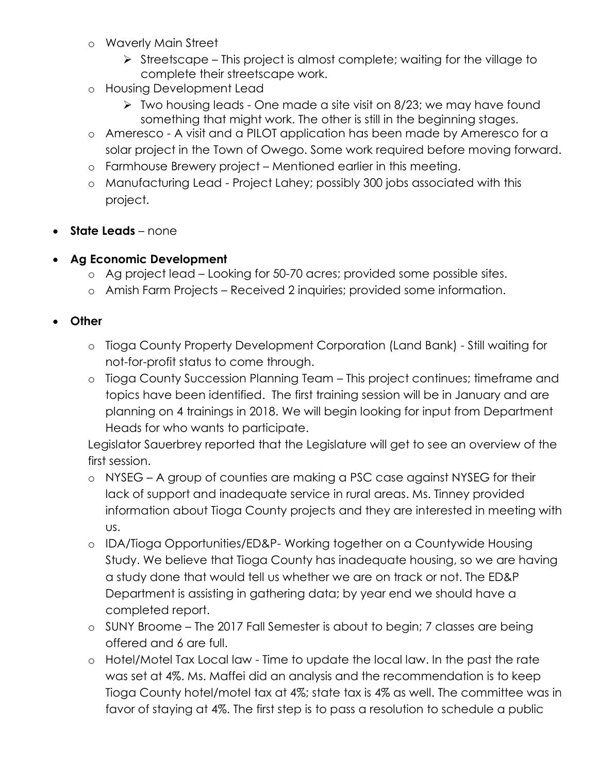- o Waverly Main Street
	- $\triangleright$  Streetscape This project is almost complete; waiting for the village to complete their streetscape work.
- o Housing Development Lead
	- $\triangleright$  Two housing leads One made a site visit on 8/23; we may have found something that might work. The other is still in the beginning stages.
- o Ameresco A visit and a PILOT application has been made by Ameresco for a solar project in the Town of Owego. Some work required before moving forward.
- o Farmhouse Brewery project Mentioned earlier in this meeting.
- o Manufacturing Lead Project Lahey; possibly 300 jobs associated with this project.
- **State Leads** none

## **Ag Economic Development**

- o Ag project lead Looking for 50-70 acres; provided some possible sites.
- o Amish Farm Projects Received 2 inquiries; provided some information.
- **Other**
	- o Tioga County Property Development Corporation (Land Bank) Still waiting for not-for-profit status to come through.
	- o Tioga County Succession Planning Team This project continues; timeframe and topics have been identified. The first training session will be in January and are planning on 4 trainings in 2018. We will begin looking for input from Department Heads for who wants to participate.

Legislator Sauerbrey reported that the Legislature will get to see an overview of the first session.

- o NYSEG A group of counties are making a PSC case against NYSEG for their lack of support and inadequate service in rural areas. Ms. Tinney provided information about Tioga County projects and they are interested in meeting with us.
- o IDA/Tioga Opportunities/ED&P- Working together on a Countywide Housing Study. We believe that Tioga County has inadequate housing, so we are having a study done that would tell us whether we are on track or not. The ED&P Department is assisting in gathering data; by year end we should have a completed report.
- o SUNY Broome The 2017 Fall Semester is about to begin; 7 classes are being offered and 6 are full.
- o Hotel/Motel Tax Local law Time to update the local law. In the past the rate was set at 4%. Ms. Maffei did an analysis and the recommendation is to keep Tioga County hotel/motel tax at 4%; state tax is 4% as well. The committee was in favor of staying at 4%. The first step is to pass a resolution to schedule a public